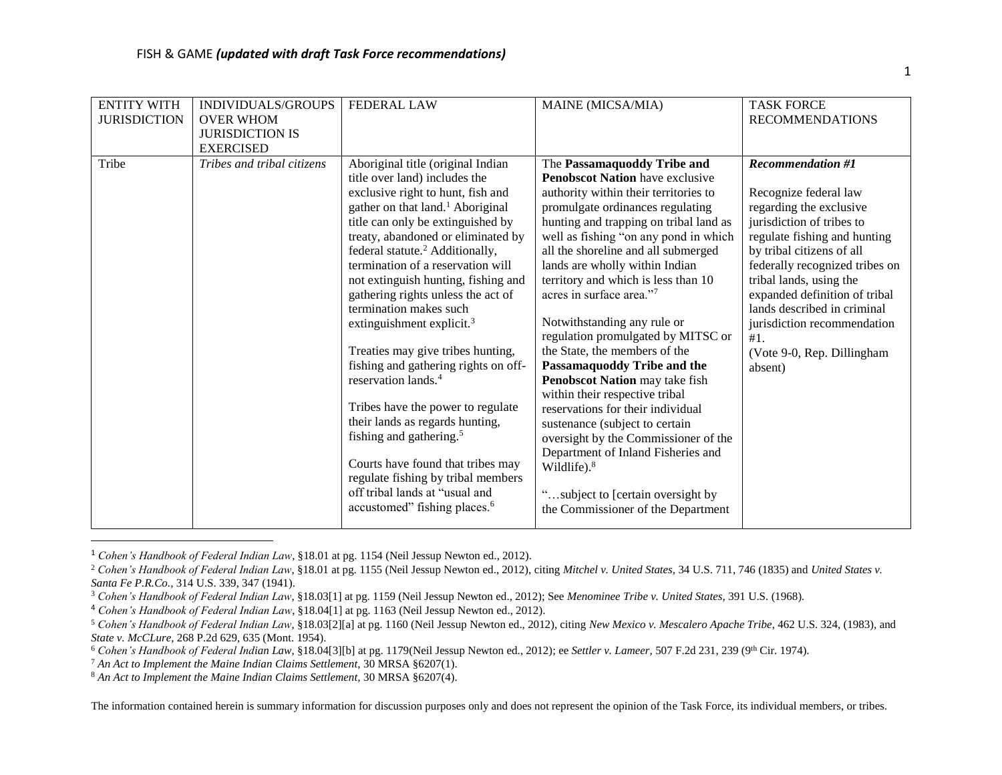| <b>ENTITY WITH</b>  | INDIVIDUALS/GROUPS         | <b>FEDERAL LAW</b>                           | MAINE (MICSA/MIA)                      | <b>TASK FORCE</b>              |
|---------------------|----------------------------|----------------------------------------------|----------------------------------------|--------------------------------|
| <b>JURISDICTION</b> | <b>OVER WHOM</b>           |                                              |                                        | <b>RECOMMENDATIONS</b>         |
|                     | <b>JURISDICTION IS</b>     |                                              |                                        |                                |
|                     | <b>EXERCISED</b>           |                                              |                                        |                                |
| Tribe               | Tribes and tribal citizens | Aboriginal title (original Indian            | The Passamaquoddy Tribe and            | <b>Recommendation #1</b>       |
|                     |                            | title over land) includes the                | <b>Penobscot Nation have exclusive</b> |                                |
|                     |                            | exclusive right to hunt, fish and            | authority within their territories to  | Recognize federal law          |
|                     |                            | gather on that land. <sup>1</sup> Aboriginal | promulgate ordinances regulating       | regarding the exclusive        |
|                     |                            | title can only be extinguished by            | hunting and trapping on tribal land as | jurisdiction of tribes to      |
|                     |                            | treaty, abandoned or eliminated by           | well as fishing "on any pond in which  | regulate fishing and hunting   |
|                     |                            | federal statute. <sup>2</sup> Additionally,  | all the shoreline and all submerged    | by tribal citizens of all      |
|                     |                            | termination of a reservation will            | lands are wholly within Indian         | federally recognized tribes on |
|                     |                            | not extinguish hunting, fishing and          | territory and which is less than 10    | tribal lands, using the        |
|                     |                            | gathering rights unless the act of           | acres in surface area."7               | expanded definition of tribal  |
|                     |                            | termination makes such                       |                                        | lands described in criminal    |
|                     |                            | extinguishment explicit. $3$                 | Notwithstanding any rule or            | jurisdiction recommendation    |
|                     |                            |                                              | regulation promulgated by MITSC or     | #1.                            |
|                     |                            | Treaties may give tribes hunting,            | the State, the members of the          | (Vote 9-0, Rep. Dillingham     |
|                     |                            | fishing and gathering rights on off-         | Passamaquoddy Tribe and the            | absent)                        |
|                     |                            | reservation lands. <sup>4</sup>              | Penobscot Nation may take fish         |                                |
|                     |                            |                                              | within their respective tribal         |                                |
|                     |                            | Tribes have the power to regulate            | reservations for their individual      |                                |
|                     |                            | their lands as regards hunting,              | sustenance (subject to certain         |                                |
|                     |                            | fishing and gathering. <sup>5</sup>          | oversight by the Commissioner of the   |                                |
|                     |                            | Courts have found that tribes may            | Department of Inland Fisheries and     |                                |
|                     |                            | regulate fishing by tribal members           | Wildlife). $8$                         |                                |
|                     |                            | off tribal lands at "usual and               |                                        |                                |
|                     |                            | accustomed" fishing places. <sup>6</sup>     | "subject to [certain oversight by      |                                |
|                     |                            |                                              | the Commissioner of the Department     |                                |
|                     |                            |                                              |                                        |                                |

<sup>1</sup> *Cohen's Handbook of Federal Indian Law*, §18.01 at pg. 1154 (Neil Jessup Newton ed., 2012).

 $\overline{\phantom{a}}$ 

<sup>2</sup> *Cohen's Handbook of Federal Indian Law*, §18.01 at pg. 1155 (Neil Jessup Newton ed., 2012), citing *Mitchel v. United States,* 34 U.S. 711, 746 (1835) and *United States v. Santa Fe P.R.Co.,* 314 U.S. 339, 347 (1941).

<sup>3</sup> *Cohen's Handbook of Federal Indian Law*, §18.03[1] at pg. 1159 (Neil Jessup Newton ed., 2012); See *Menominee Tribe v. United States,* 391 U.S. (1968).

<sup>4</sup> *Cohen's Handbook of Federal Indian Law*, §18.04[1] at pg. 1163 (Neil Jessup Newton ed., 2012).

<sup>5</sup> *Cohen's Handbook of Federal Indian Law*, §18.03[2][a] at pg. 1160 (Neil Jessup Newton ed., 2012), citing *New Mexico v. Mescalero Apache Tribe*, 462 U.S. 324, (1983), and *State v. McCLure,* 268 P.2d 629, 635 (Mont. 1954).

<sup>6</sup> *Cohen's Handbook of Federal Indian Law*, §18.04[3][b] at pg. 1179(Neil Jessup Newton ed., 2012); ee *Settler v. Lameer,* 507 F.2d 231, 239 (9th Cir. 1974).

<sup>7</sup> *An Act to Implement the Maine Indian Claims Settlement,* 30 MRSA §6207(1).

<sup>8</sup> *An Act to Implement the Maine Indian Claims Settlement,* 30 MRSA §6207(4).

The information contained herein is summary information for discussion purposes only and does not represent the opinion of the Task Force, its individual members, or tribes.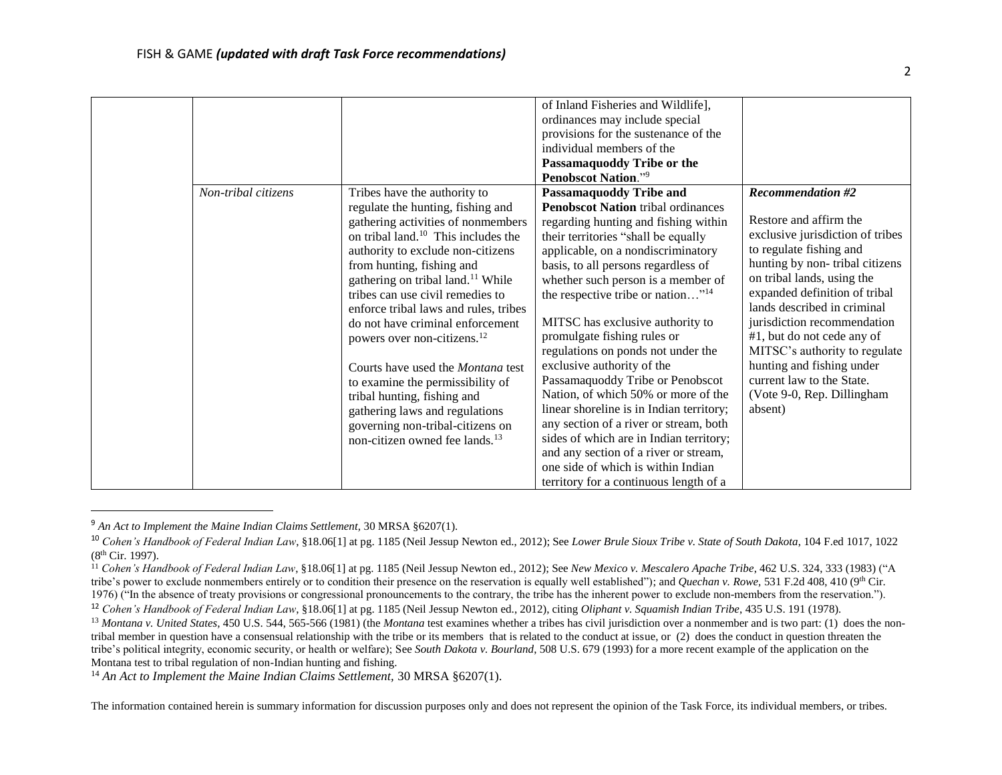|                     |                                                                                                                                                                                                                                                                                                                                                                                                                                                                                                                                                                                                                                                                       | of Inland Fisheries and Wildlife],<br>ordinances may include special<br>provisions for the sustenance of the<br>individual members of the<br>Passamaquoddy Tribe or the<br><b>Penobscot Nation."</b> 9                                                                                                                                                                                                                                                                                                                                                                                                                                                                                                                                                                                                     |                                                                                                                                                                                                                                                                                                                                                                                                                                                     |
|---------------------|-----------------------------------------------------------------------------------------------------------------------------------------------------------------------------------------------------------------------------------------------------------------------------------------------------------------------------------------------------------------------------------------------------------------------------------------------------------------------------------------------------------------------------------------------------------------------------------------------------------------------------------------------------------------------|------------------------------------------------------------------------------------------------------------------------------------------------------------------------------------------------------------------------------------------------------------------------------------------------------------------------------------------------------------------------------------------------------------------------------------------------------------------------------------------------------------------------------------------------------------------------------------------------------------------------------------------------------------------------------------------------------------------------------------------------------------------------------------------------------------|-----------------------------------------------------------------------------------------------------------------------------------------------------------------------------------------------------------------------------------------------------------------------------------------------------------------------------------------------------------------------------------------------------------------------------------------------------|
| Non-tribal citizens | Tribes have the authority to<br>regulate the hunting, fishing and<br>gathering activities of nonmembers<br>on tribal land. <sup>10</sup> This includes the<br>authority to exclude non-citizens<br>from hunting, fishing and<br>gathering on tribal land. <sup>11</sup> While<br>tribes can use civil remedies to<br>enforce tribal laws and rules, tribes<br>do not have criminal enforcement<br>powers over non-citizens. <sup>12</sup><br>Courts have used the Montana test<br>to examine the permissibility of<br>tribal hunting, fishing and<br>gathering laws and regulations<br>governing non-tribal-citizens on<br>non-citizen owned fee lands. <sup>13</sup> | <b>Passamaquoddy Tribe and</b><br><b>Penobscot Nation tribal ordinances</b><br>regarding hunting and fishing within<br>their territories "shall be equally<br>applicable, on a nondiscriminatory<br>basis, to all persons regardless of<br>whether such person is a member of<br>the respective tribe or nation" <sup>14</sup><br>MITSC has exclusive authority to<br>promulgate fishing rules or<br>regulations on ponds not under the<br>exclusive authority of the<br>Passamaquoddy Tribe or Penobscot<br>Nation, of which 50% or more of the<br>linear shoreline is in Indian territory;<br>any section of a river or stream, both<br>sides of which are in Indian territory;<br>and any section of a river or stream,<br>one side of which is within Indian<br>territory for a continuous length of a | <b>Recommendation #2</b><br>Restore and affirm the<br>exclusive jurisdiction of tribes<br>to regulate fishing and<br>hunting by non-tribal citizens<br>on tribal lands, using the<br>expanded definition of tribal<br>lands described in criminal<br>jurisdiction recommendation<br>#1, but do not cede any of<br>MITSC's authority to regulate<br>hunting and fishing under<br>current law to the State.<br>(Vote 9-0, Rep. Dillingham)<br>absent) |

<sup>9</sup> *An Act to Implement the Maine Indian Claims Settlement,* 30 MRSA §6207(1).

l

<sup>14</sup> An Act to Implement the Maine Indian Claims Settlement, 30 MRSA §6207(1).

The information contained herein is summary information for discussion purposes only and does not represent the opinion of the Task Force, its individual members, or tribes.

<sup>10</sup> *Cohen's Handbook of Federal Indian Law*, §18.06[1] at pg. 1185 (Neil Jessup Newton ed., 2012); See *Lower Brule Sioux Tribe v. State of South Dakota*, 104 F.ed 1017, 1022 (8th Cir. 1997).

<sup>11</sup> *Cohen's Handbook of Federal Indian Law*, §18.06[1] at pg. 1185 (Neil Jessup Newton ed., 2012); See *New Mexico v. Mescalero Apache Tribe*, 462 U.S. 324, 333 (1983) ("A tribe's power to exclude nonmembers entirely or to condition their presence on the reservation is equally well established"); and *Quechan v. Rowe,* 531 F.2d 408, 410 (9th Cir. 1976) ("In the absence of treaty provisions or congressional pronouncements to the contrary, the tribe has the inherent power to exclude non-members from the reservation.").

<sup>12</sup> *Cohen's Handbook of Federal Indian Law*, §18.06[1] at pg. 1185 (Neil Jessup Newton ed., 2012), citing *Oliphant v. Squamish Indian Tribe*, 435 U.S. 191 (1978).

<sup>&</sup>lt;sup>13</sup> Montana v. United States, 450 U.S. 544, 565-566 (1981) (the *Montana* test examines whether a tribes has civil jurisdiction over a nonmember and is two part: (1) does the nontribal member in question have a consensual relationship with the tribe or its members that is related to the conduct at issue, or (2) does the conduct in question threaten the tribe's political integrity, economic security, or health or welfare); See *South Dakota v. Bourland*, 508 U.S. 679 (1993) for a more recent example of the application on the Montana test to tribal regulation of non-Indian hunting and fishing.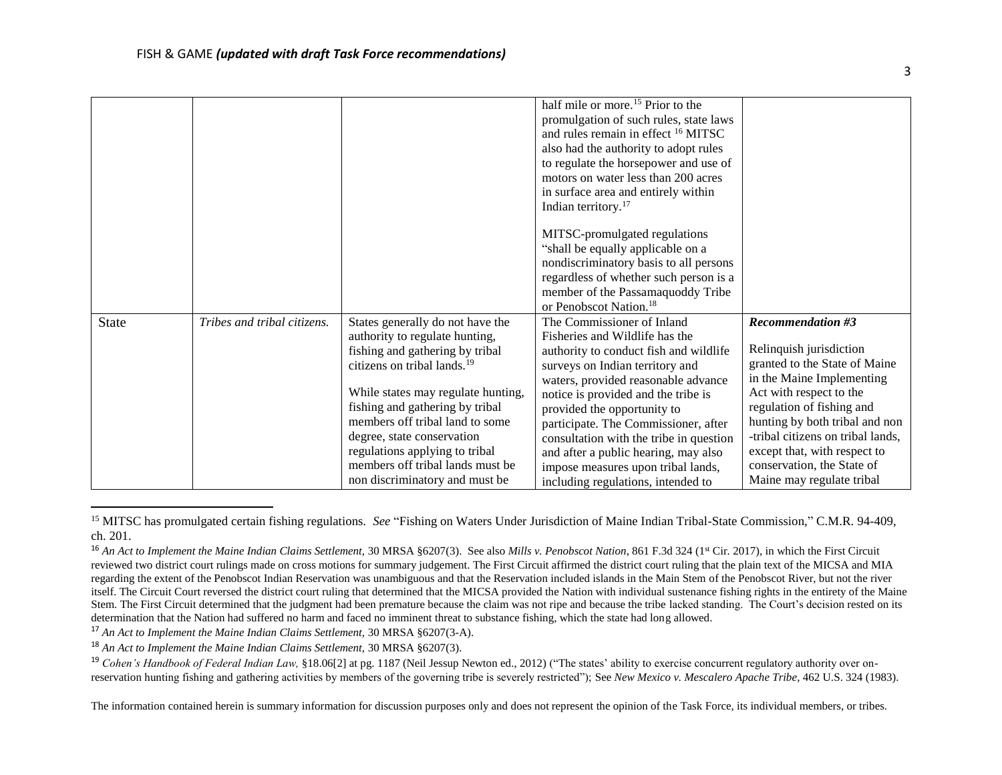|       |                             |                                         | half mile or more. <sup>15</sup> Prior to the  |                                   |
|-------|-----------------------------|-----------------------------------------|------------------------------------------------|-----------------------------------|
|       |                             |                                         | promulgation of such rules, state laws         |                                   |
|       |                             |                                         | and rules remain in effect <sup>16</sup> MITSC |                                   |
|       |                             |                                         |                                                |                                   |
|       |                             |                                         | also had the authority to adopt rules          |                                   |
|       |                             |                                         | to regulate the horsepower and use of          |                                   |
|       |                             |                                         | motors on water less than 200 acres            |                                   |
|       |                             |                                         | in surface area and entirely within            |                                   |
|       |                             |                                         | Indian territory. $17$                         |                                   |
|       |                             |                                         | MITSC-promulgated regulations                  |                                   |
|       |                             |                                         | "shall be equally applicable on a              |                                   |
|       |                             |                                         | nondiscriminatory basis to all persons         |                                   |
|       |                             |                                         |                                                |                                   |
|       |                             |                                         | regardless of whether such person is a         |                                   |
|       |                             |                                         | member of the Passamaquoddy Tribe              |                                   |
|       |                             |                                         | or Penobscot Nation. <sup>18</sup>             |                                   |
| State | Tribes and tribal citizens. | States generally do not have the        | The Commissioner of Inland                     | <b>Recommendation #3</b>          |
|       |                             | authority to regulate hunting,          | Fisheries and Wildlife has the                 |                                   |
|       |                             | fishing and gathering by tribal         | authority to conduct fish and wildlife         | Relinquish jurisdiction           |
|       |                             | citizens on tribal lands. <sup>19</sup> | surveys on Indian territory and                | granted to the State of Maine     |
|       |                             |                                         | waters, provided reasonable advance            | in the Maine Implementing         |
|       |                             | While states may regulate hunting,      | notice is provided and the tribe is            | Act with respect to the           |
|       |                             | fishing and gathering by tribal         | provided the opportunity to                    | regulation of fishing and         |
|       |                             | members off tribal land to some         | participate. The Commissioner, after           | hunting by both tribal and non    |
|       |                             | degree, state conservation              | consultation with the tribe in question        | -tribal citizens on tribal lands, |
|       |                             | regulations applying to tribal          | and after a public hearing, may also           | except that, with respect to      |
|       |                             | members off tribal lands must be        | impose measures upon tribal lands,             | conservation, the State of        |
|       |                             | non discriminatory and must be          | including regulations, intended to             | Maine may regulate tribal         |

<sup>15</sup> MITSC has promulgated certain fishing regulations. *See* "Fishing on Waters Under Jurisdiction of Maine Indian Tribal-State Commission," C.M.R. 94-409, ch. 201.

<sup>17</sup> *An Act to Implement the Maine Indian Claims Settlement,* 30 MRSA §6207(3-A).

<sup>18</sup> An Act to Implement the Maine Indian Claims Settlement, 30 MRSA §6207(3).

l

<sup>19</sup> *Cohen's Handbook of Federal Indian Law*, §18.06[2] at pg. 1187 (Neil Jessup Newton ed., 2012) ("The states' ability to exercise concurrent regulatory authority over onreservation hunting fishing and gathering activities by members of the governing tribe is severely restricted"); See *New Mexico v. Mescalero Apache Tribe*, 462 U.S. 324 (1983).

The information contained herein is summary information for discussion purposes only and does not represent the opinion of the Task Force, its individual members, or tribes.

<sup>&</sup>lt;sup>16</sup> An Act to Implement the Maine Indian Claims Settlement, 30 MRSA §6207(3). See also Mills v. Penobscot Nation, 861 F.3d 324 (1<sup>st</sup> Cir. 2017), in which the First Circuit reviewed two district court rulings made on cross motions for summary judgement. The First Circuit affirmed the district court ruling that the plain text of the MICSA and MIA regarding the extent of the Penobscot Indian Reservation was unambiguous and that the Reservation included islands in the Main Stem of the Penobscot River, but not the river itself. The Circuit Court reversed the district court ruling that determined that the MICSA provided the Nation with individual sustenance fishing rights in the entirety of the Maine Stem. The First Circuit determined that the judgment had been premature because the claim was not ripe and because the tribe lacked standing. The Court's decision rested on its determination that the Nation had suffered no harm and faced no imminent threat to substance fishing, which the state had long allowed.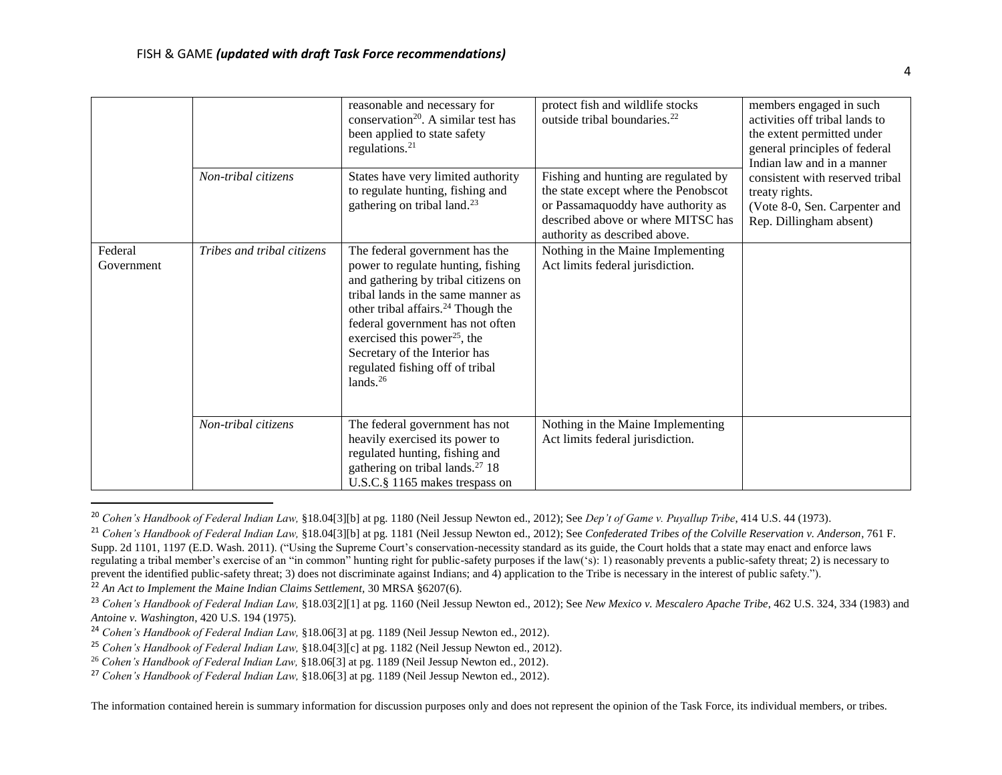|                       | Non-tribal citizens        | reasonable and necessary for<br>conservation <sup>20</sup> . A similar test has<br>been applied to state safety<br>regulations. $21$<br>States have very limited authority<br>to regulate hunting, fishing and<br>gathering on tribal land. <sup>23</sup>                                                                                                              | protect fish and wildlife stocks<br>outside tribal boundaries. <sup>22</sup><br>Fishing and hunting are regulated by<br>the state except where the Penobscot<br>or Passamaquoddy have authority as<br>described above or where MITSC has<br>authority as described above. | members engaged in such<br>activities off tribal lands to<br>the extent permitted under<br>general principles of federal<br>Indian law and in a manner<br>consistent with reserved tribal<br>treaty rights.<br>(Vote 8-0, Sen. Carpenter and<br>Rep. Dillingham absent) |
|-----------------------|----------------------------|------------------------------------------------------------------------------------------------------------------------------------------------------------------------------------------------------------------------------------------------------------------------------------------------------------------------------------------------------------------------|---------------------------------------------------------------------------------------------------------------------------------------------------------------------------------------------------------------------------------------------------------------------------|-------------------------------------------------------------------------------------------------------------------------------------------------------------------------------------------------------------------------------------------------------------------------|
| Federal<br>Government | Tribes and tribal citizens | The federal government has the<br>power to regulate hunting, fishing<br>and gathering by tribal citizens on<br>tribal lands in the same manner as<br>other tribal affairs. <sup>24</sup> Though the<br>federal government has not often<br>exercised this power <sup>25</sup> , the<br>Secretary of the Interior has<br>regulated fishing off of tribal<br>lands. $26$ | Nothing in the Maine Implementing<br>Act limits federal jurisdiction.                                                                                                                                                                                                     |                                                                                                                                                                                                                                                                         |
|                       | Non-tribal citizens        | The federal government has not<br>heavily exercised its power to<br>regulated hunting, fishing and<br>gathering on tribal lands. <sup>27</sup> 18<br>U.S.C.§ 1165 makes trespass on                                                                                                                                                                                    | Nothing in the Maine Implementing<br>Act limits federal jurisdiction.                                                                                                                                                                                                     |                                                                                                                                                                                                                                                                         |

<sup>20</sup> *Cohen's Handbook of Federal Indian Law,* §18.04[3][b] at pg. 1180 (Neil Jessup Newton ed., 2012); See *Dep't of Game v. Puyallup Tribe*, 414 U.S. 44 (1973).

 $\overline{\phantom{a}}$ 

<sup>21</sup> *Cohen's Handbook of Federal Indian Law,* §18.04[3][b] at pg. 1181 (Neil Jessup Newton ed., 2012); See *Confederated Tribes of the Colville Reservation v. Anderson*, 761 F. Supp. 2d 1101, 1197 (E.D. Wash. 2011). ("Using the Supreme Court's conservation-necessity standard as its guide, the Court holds that a state may enact and enforce laws regulating a tribal member's exercise of an "in common" hunting right for public-safety purposes if the law('s): 1) reasonably prevents a public-safety threat; 2) is necessary to prevent the identified public-safety threat; 3) does not discriminate against Indians; and 4) application to the Tribe is necessary in the interest of public safety.").

<sup>&</sup>lt;sup>22</sup> An Act to Implement the Maine Indian Claims Settlement, 30 MRSA §6207(6).

<sup>&</sup>lt;sup>23</sup> Cohen's Handbook of Federal Indian Law, §18.03[2][1] at pg. 1160 (Neil Jessup Newton ed., 2012); See *New Mexico v. Mescalero Apache Tribe*, 462 U.S. 324, 334 (1983) and *Antoine v. Washington*, 420 U.S. 194 (1975).

<sup>24</sup> *Cohen's Handbook of Federal Indian Law,* §18.06[3] at pg. 1189 (Neil Jessup Newton ed., 2012).

<sup>25</sup> *Cohen's Handbook of Federal Indian Law,* §18.04[3][c] at pg. 1182 (Neil Jessup Newton ed., 2012).

<sup>26</sup> *Cohen's Handbook of Federal Indian Law,* §18.06[3] at pg. 1189 (Neil Jessup Newton ed., 2012).

<sup>27</sup> *Cohen's Handbook of Federal Indian Law,* §18.06[3] at pg. 1189 (Neil Jessup Newton ed., 2012).

The information contained herein is summary information for discussion purposes only and does not represent the opinion of the Task Force, its individual members, or tribes.